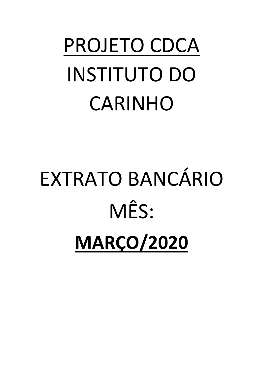## PROJETO CDCA **INSTITUTO DO** CARINHO

# EXTRATO BANCÁRIO MÊS: **MARÇO/2020**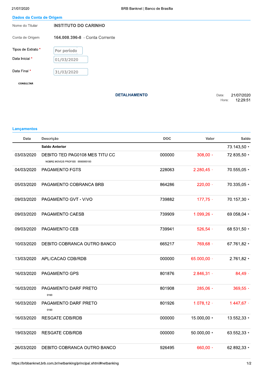| Dados da Conta de Origem |  |  |  |
|--------------------------|--|--|--|

| 21/07/2020               | BRB Banknet   Banco de Brasília |                |                        |
|--------------------------|---------------------------------|----------------|------------------------|
| Dados da Conta de Origem |                                 |                |                        |
| Nome do Titular          | <b>INSTITUTO DO CARINHO</b>     |                |                        |
| Conta de Origem          | 164.008.396-8 - Conta Corrente  |                |                        |
| Tipos de Extrato *       | Por período                     |                |                        |
| Data Inicial *           | 01/03/2020                      |                |                        |
| Data Final *             | 31/03/2020                      |                |                        |
| <b>CONSULTAR</b>         |                                 |                |                        |
|                          | <b>DETALHAMENTO</b>             | Data:<br>Hora: | 21/07/2020<br>12:29:51 |

#### Lançamentos

| Data       | Descrição                                                         | <b>DOC</b> | Valor         | Saldo         |
|------------|-------------------------------------------------------------------|------------|---------------|---------------|
|            | <b>Saldo Anterior</b>                                             |            |               | 73.143,50 +   |
| 03/03/2020 | DEBITO TED PAG0108 MES TITU CC<br>NOBRE MOVEIS PROFISS 0000000193 | 000000     | $308,00 -$    | 72.835,50 +   |
| 04/03/2020 | <b>PAGAMENTO FGTS</b>                                             | 228063     | $2.280,45$ -  | 70.555,05 +   |
| 05/03/2020 | PAGAMENTO COBRANCA BRB                                            | 864286     | $220,00 -$    | 70.335,05 +   |
| 09/03/2020 | PAGAMENTO GVT - VIVO                                              | 739882     | $177,75 -$    | 70.157,30 +   |
| 09/03/2020 | PAGAMENTO CAESB                                                   | 739909     | $1.099,26$ -  | 69.058,04 +   |
| 09/03/2020 | PAGAMENTO CEB                                                     | 739941     | $526,54 -$    | 68.531,50 +   |
| 10/03/2020 | DEBITO COBRANCA OUTRO BANCO                                       | 665217     | 769,68 -      | 67.761,82 +   |
| 13/03/2020 | APLICACAO CDB/RDB                                                 | 000000     | 65.000,00 -   | $2.761,82 +$  |
| 16/03/2020 | <b>PAGAMENTO GPS</b>                                              | 801876     | $2.846,31 -$  | $84,49 -$     |
| 16/03/2020 | PAGAMENTO DARF PRETO<br>0160                                      | 801908     | $285,06 -$    | $369,55 -$    |
| 16/03/2020 | PAGAMENTO DARF PRETO<br>0160                                      | 801926     | $1.078, 12 -$ | $1.447,67 -$  |
| 16/03/2020 | <b>RESGATE CDB/RDB</b>                                            | 000000     | 15.000,00 +   | $13.552,33 +$ |
| 19/03/2020 | <b>RESGATE CDB/RDB</b>                                            | 000000     | $50.000,00+$  | $63.552,33 +$ |
| 26/03/2020 | DEBITO COBRANCA OUTRO BANCO                                       | 926495     | 660,00 -      | 62.892,33 +   |